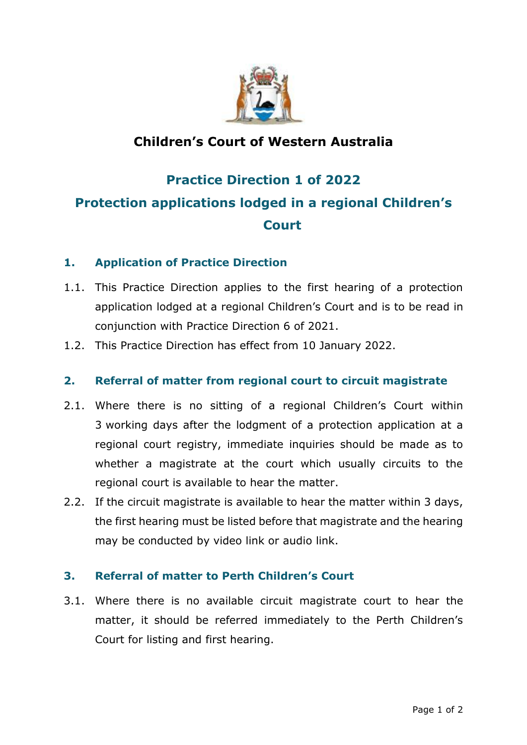

### **Children's Court of Western Australia**

# **Practice Direction 1 of 2022 Protection applications lodged in a regional Children's Court**

#### **1. Application of Practice Direction**

- 1.1. This Practice Direction applies to the first hearing of a protection application lodged at a regional Children's Court and is to be read in conjunction with Practice Direction 6 of 2021.
- 1.2. This Practice Direction has effect from 10 January 2022.

#### **2. Referral of matter from regional court to circuit magistrate**

- 2.1. Where there is no sitting of a regional Children's Court within 3 working days after the lodgment of a protection application at a regional court registry, immediate inquiries should be made as to whether a magistrate at the court which usually circuits to the regional court is available to hear the matter.
- 2.2. If the circuit magistrate is available to hear the matter within 3 days, the first hearing must be listed before that magistrate and the hearing may be conducted by video link or audio link.

#### **3. Referral of matter to Perth Children's Court**

3.1. Where there is no available circuit magistrate court to hear the matter, it should be referred immediately to the Perth Children's Court for listing and first hearing.